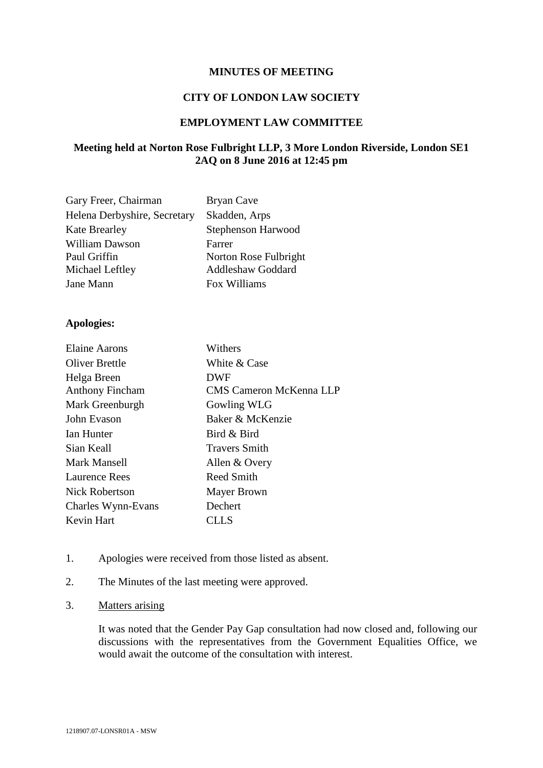#### **MINUTES OF MEETING**

#### **CITY OF LONDON LAW SOCIETY**

## **EMPLOYMENT LAW COMMITTEE**

# **Meeting held at Norton Rose Fulbright LLP, 3 More London Riverside, London SE1 2AQ on 8 June 2016 at 12:45 pm**

| Gary Freer, Chairman         | Bryan Cave               |
|------------------------------|--------------------------|
| Helena Derbyshire, Secretary | Skadden, Arps            |
| <b>Kate Brearley</b>         | Stephenson Harwood       |
| William Dawson               | Farrer                   |
| Paul Griffin                 | Norton Rose Fulbright    |
| Michael Leftley              | <b>Addleshaw Goddard</b> |
| Jane Mann                    | Fox Williams             |

#### **Apologies:**

| <b>Elaine Aarons</b>   | Withers                 |
|------------------------|-------------------------|
| <b>Oliver Brettle</b>  | White & Case            |
| Helga Breen            | <b>DWF</b>              |
| <b>Anthony Fincham</b> | CMS Cameron McKenna LLP |
| Mark Greenburgh        | Gowling WLG             |
| John Evason            | Baker & McKenzie        |
| Ian Hunter             | Bird & Bird             |
| Sian Keall             | <b>Travers Smith</b>    |
| Mark Mansell           | Allen & Overy           |
| Laurence Rees          | Reed Smith              |
| <b>Nick Robertson</b>  | Mayer Brown             |
| Charles Wynn-Evans     | Dechert                 |
| Kevin Hart             | CLLS                    |

- 1. Apologies were received from those listed as absent.
- 2. The Minutes of the last meeting were approved.
- 3. Matters arising

It was noted that the Gender Pay Gap consultation had now closed and, following our discussions with the representatives from the Government Equalities Office, we would await the outcome of the consultation with interest.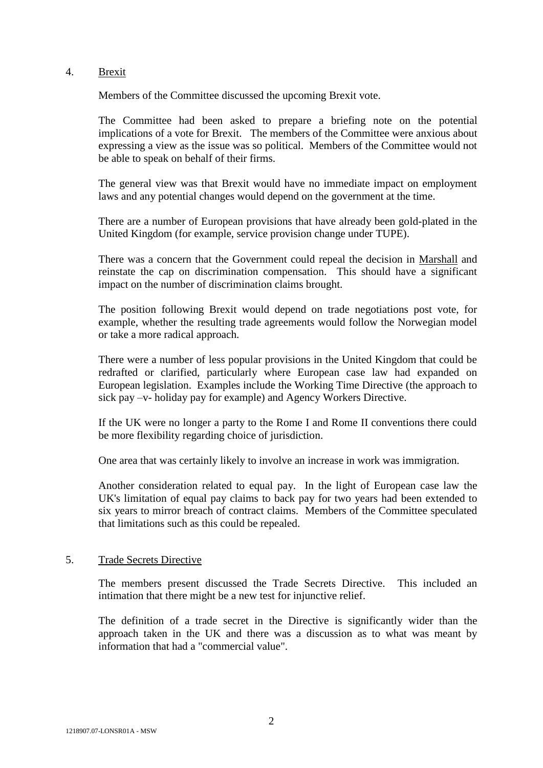#### 4. Brexit

Members of the Committee discussed the upcoming Brexit vote.

The Committee had been asked to prepare a briefing note on the potential implications of a vote for Brexit. The members of the Committee were anxious about expressing a view as the issue was so political. Members of the Committee would not be able to speak on behalf of their firms.

The general view was that Brexit would have no immediate impact on employment laws and any potential changes would depend on the government at the time.

There are a number of European provisions that have already been gold-plated in the United Kingdom (for example, service provision change under TUPE).

There was a concern that the Government could repeal the decision in Marshall and reinstate the cap on discrimination compensation. This should have a significant impact on the number of discrimination claims brought.

The position following Brexit would depend on trade negotiations post vote, for example, whether the resulting trade agreements would follow the Norwegian model or take a more radical approach.

There were a number of less popular provisions in the United Kingdom that could be redrafted or clarified, particularly where European case law had expanded on European legislation. Examples include the Working Time Directive (the approach to sick pay –v- holiday pay for example) and Agency Workers Directive.

If the UK were no longer a party to the Rome I and Rome II conventions there could be more flexibility regarding choice of jurisdiction.

One area that was certainly likely to involve an increase in work was immigration.

Another consideration related to equal pay. In the light of European case law the UK's limitation of equal pay claims to back pay for two years had been extended to six years to mirror breach of contract claims. Members of the Committee speculated that limitations such as this could be repealed.

## 5. Trade Secrets Directive

The members present discussed the Trade Secrets Directive. This included an intimation that there might be a new test for injunctive relief.

The definition of a trade secret in the Directive is significantly wider than the approach taken in the UK and there was a discussion as to what was meant by information that had a "commercial value".